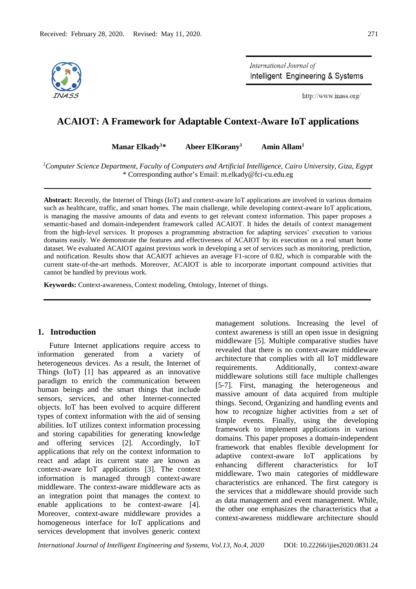

International Journal of Intelligent Engineering & Systems

http://www.inass.org/

# **ACAIOT: A Framework for Adaptable Context-Aware IoT applications**

**Manar Elkady<sup>1</sup>\* Abeer ElKorany<sup>1</sup> Amin Allam<sup>1</sup>**

*<sup>1</sup>Computer Science Department, Faculty of Computers and Artificial Intelligence, Cairo University, Giza, Egypt* \* Corresponding author's Email: m.elkady@fci-cu.edu.eg

**Abstract:** Recently, the Internet of Things (IoT) and context-aware IoT applications are involved in various domains such as healthcare, traffic, and smart homes. The main challenge, while developing context-aware IoT applications, is managing the massive amounts of data and events to get relevant context information. This paper proposes a semantic-based and domain-independent framework called ACAIOT. It hides the details of context management from the high-level services. It proposes a programming abstraction for adapting services' execution to various domains easily. We demonstrate the features and effectiveness of ACAIOT by its execution on a real smart home dataset. We evaluated ACAIOT against previous work in developing a set of services such as monitoring, prediction, and notification. Results show that ACAIOT achieves an average F1-score of 0.82, which is comparable with the current state-of-the-art methods. Moreover, ACAIOT is able to incorporate important compound activities that cannot be handled by previous work.

**Keywords:** Context-awareness, Context modeling, Ontology, Internet of things.

# **1. Introduction**

Future Internet applications require access to information generated from a variety of heterogeneous devices. As a result, the Internet of Things (IoT) [\[1\]](https://paperpile.com/c/tuRb1s/5hb2) has appeared as an innovative paradigm to enrich the communication between human beings and the smart things that include sensors, services, and other Internet-connected objects. IoT has been evolved to acquire different types of context information with the aid of sensing abilities. IoT utilizes context information processing and storing capabilities for generating knowledge and offering services [\[2\].](https://paperpile.com/c/tuRb1s/RYXp) Accordingly, IoT applications that rely on the context information to react and adapt its current state are known as context-aware IoT applications [\[3\].](https://paperpile.com/c/tuRb1s/hNN7r) The context information is managed through context-aware middleware. The context-aware middleware acts as an integration point that manages the context to enable applications to be context-aware [\[4\].](https://paperpile.com/c/tuRb1s/VODuV) Moreover, context-aware middleware provides a homogeneous interface for IoT applications and services development that involves generic context

management solutions. Increasing the level of context awareness is still an open issue in designing middleware [\[5\].](https://paperpile.com/c/tuRb1s/GCFtc) Multiple comparative studies have revealed that there is no context-aware middleware architecture that complies with all IoT middleware requirements. Additionally, context-aware middleware solutions still face multiple challenges [\[5-7\].](https://paperpile.com/c/tuRb1s/jNjeT) First, managing the heterogeneous and massive amount of data acquired from multiple things. Second, Organizing and handling events and how to recognize higher activities from a set of simple events. Finally, using the developing framework to implement applications in various domains. This paper proposes a domain-independent framework that enables flexible development for adaptive context-aware IoT applications by enhancing different characteristics for IoT middleware. Two main categories of middleware characteristics are enhanced. The first category is the services that a middleware should provide such as data management and event management. While, the other one emphasizes the characteristics that a context-awareness middleware architecture should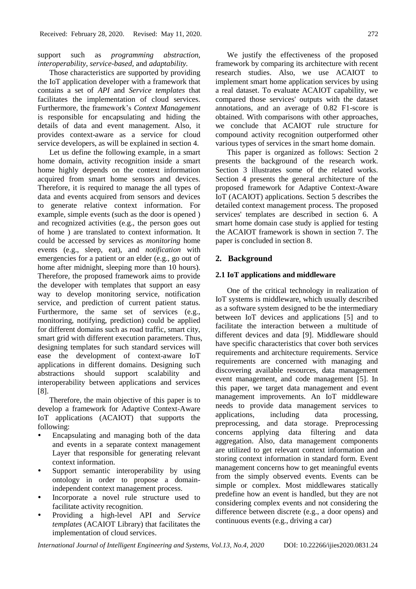support such as *programming abstraction, interoperability, service-based,* and *adaptability.* 

Those characteristics are supported by providing the IoT application developer with a framework that contains a set of *API* and *Service templates* that facilitates the implementation of cloud services. Furthermore*,* the framework's *Context Management*  is responsible for encapsulating and hiding the details of data and event management. Also, it provides context-aware as a service for cloud service developers, as will be explained in section 4.

Let us define the following example, in a smart home domain, activity recognition inside a smart home highly depends on the context information acquired from smart home sensors and devices. Therefore, it is required to manage the all types of data and events acquired from sensors and devices to generate relative context information. For example, simple events (such as the door is opened ) and recognized activities (e.g., the person goes out of home ) are translated to context information. It could be accessed by services as *monitoring* home events (e.g., sleep, eat), and *notification* with emergencies for a patient or an elder (e.g., go out of home after midnight, sleeping more than 10 hours). Therefore, the proposed framework aims to provide the developer with templates that support an easy way to develop monitoring service, notification service, and prediction of current patient status. Furthermore, the same set of services (e.g., monitoring, notifying, prediction) could be applied for different domains such as road traffic, smart city, smart grid with different execution parameters. Thus, designing templates for such standard services will ease the development of context-aware IoT applications in different domains. Designing such abstractions should support scalability and interoperability between applications and services [\[8\].](https://paperpile.com/c/tuRb1s/Cx68O)

Therefore, the main objective of this paper is to develop a framework for Adaptive Context-Aware IoT applications (ACAIOT) that supports the following:

- Encapsulating and managing both of the data and events in a separate context management Layer that responsible for generating relevant context information.
- Support semantic interoperability by using ontology in order to propose a domainindependent context management process.
- Incorporate a novel rule structure used to facilitate activity recognition.
- Providing a high-level API and *Service templates* (ACAIOT Library) that facilitates the implementation of cloud services.

We justify the effectiveness of the proposed framework by comparing its architecture with recent research studies. Also, we use ACAIOT to implement smart home application services by using a real dataset. To evaluate ACAIOT capability, we compared those services' outputs with the dataset annotations, and an average of 0.82 F1-score is obtained. With comparisons with other approaches, we conclude that ACAIOT rule structure for compound activity recognition outperformed other various types of services in the smart home domain.

This paper is organized as follows: Section 2 presents the background of the research work. Section 3 illustrates some of the related works. Section 4 presents the general architecture of the proposed framework for Adaptive Context-Aware IoT (ACAIOT) applications. Section 5 describes the detailed context management process. The proposed services' templates are described in section 6. A smart home domain case study is applied for testing the ACAIOT framework is shown in section 7. The paper is concluded in section 8.

#### **2. Background**

## **2.1 IoT applications and middleware**

One of the critical technology in realization of IoT systems is middleware, which usually described as a software system designed to be the intermediary between IoT devices and applications [\[5\]](https://paperpile.com/c/tuRb1s/GCFtc) and to facilitate the interaction between a multitude of different devices and data [\[9\].](https://paperpile.com/c/tuRb1s/vAHGG) Middleware should have specific characteristics that cover both services requirements and architecture requirements. Service requirements are concerned with managing and discovering available resources, data management event management, and code management [\[5\].](https://paperpile.com/c/tuRb1s/GCFtc) In this paper, we target data management and event management improvements. An IoT middleware needs to provide data management services to applications, including data processing, preprocessing, and data storage. Preprocessing concerns applying data filtering and data aggregation. Also, data management components are utilized to get relevant context information and storing context information in standard form. Event management concerns how to get meaningful events from the simply observed events. Events can be simple or complex. Most middlewares statically predefine how an event is handled, but they are not considering complex events and not considering the difference between discrete (e.g., a door opens) and continuous events (e.g., driving a car)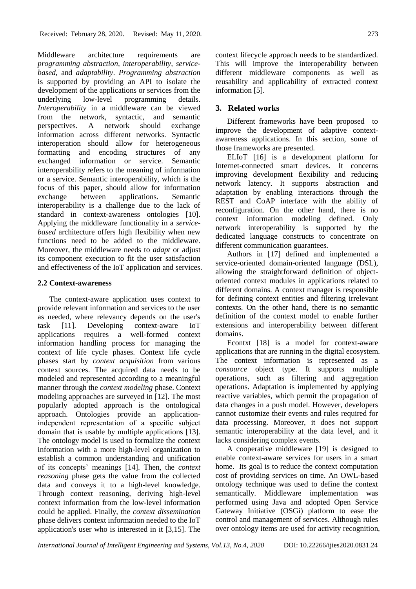Middleware architecture requirements are *programming abstraction, interoperability, servicebased,* and *adaptability*. *Programming abstraction* is supported by providing an API to isolate the development of the applications or services from the underlying low-level programming details. *Interoperability* in a middleware can be viewed from the network, syntactic, and semantic perspectives. A network should exchange information across different networks. Syntactic interoperation should allow for heterogeneous formatting and encoding structures of any exchanged information or service. Semantic interoperability refers to the meaning of information or a service. Semantic interoperability, which is the focus of this paper, should allow for information exchange between applications. Semantic interoperability is a challenge due to the lack of standard in context-awareness ontologies [\[10\].](https://paperpile.com/c/tuRb1s/N8gwu) Applying the middleware functionality in a *servicebased* architecture offers high flexibility when new functions need to be added to the middleware. Moreover, the middleware needs to *adapt* or adjust its component execution to fit the user satisfaction and effectiveness of the IoT application and services.

# **2.2 Context-awareness**

The context-aware application uses context to provide relevant information and services to the user as needed, where relevancy depends on the user's task [\[11\].](https://paperpile.com/c/tuRb1s/WzoNx) Developing context-aware IoT applications requires a well-formed context information handling process for managing the context of life cycle phases. Context life cycle phases start by *context acquisition* from various context sources. The acquired data needs to be modeled and represented according to a meaningful manner through the *context modeling* phase. Context modeling approaches are surveyed in [\[12\].](https://paperpile.com/c/tuRb1s/jJFim) The most popularly adopted approach is the ontological approach. Ontologies provide an applicationindependent representation of a specific subject domain that is usable by multiple applications [\[13\].](https://paperpile.com/c/tuRb1s/AyZBv) The ontology model is used to formalize the context information with a more high-level organization to establish a common understanding and unification of its concepts' meanings [\[14\].](https://paperpile.com/c/tuRb1s/YYEQj) Then, the *context reasoning* phase gets the value from the collected data and conveys it to a high-level knowledge. Through context reasoning, deriving high-level context information from the low-level information could be applied. Finally, the *context dissemination*  phase delivers context information needed to the IoT application's user who is interested in it [\[3,15\].](https://paperpile.com/c/tuRb1s/awGqh) The

context lifecycle approach needs to be standardized. This will improve the interoperability between different middleware components as well as reusability and applicability of extracted context information [\[5\].](https://paperpile.com/c/tuRb1s/GCFtc)

# **3. Related works**

Different frameworks have been proposed to improve the development of adaptive contextawareness applications. In this section, some of those frameworks are presented.

ELIoT [\[16\]](https://paperpile.com/c/tuRb1s/fSexM) is a development platform for Internet-connected smart devices. It concerns improving development flexibility and reducing network latency. It supports abstraction and adaptation by enabling interactions through the REST and CoAP interface with the ability of reconfiguration. On the other hand, there is no context information modeling defined. Only network interoperability is supported by the dedicated language constructs to concentrate on different communication guarantees.

Authors in [\[17\]](https://paperpile.com/c/tuRb1s/6bIZZ) defined and implemented a service-oriented domain-oriented language (DSL), allowing the straightforward definition of objectoriented context modules in applications related to different domains. A context manager is responsible for defining context entities and filtering irrelevant contexts. On the other hand, there is no semantic definition of the context model to enable further extensions and interoperability between different domains.

Econtxt [\[18\]](https://paperpile.com/c/tuRb1s/vo86d) is a model for context-aware applications that are running in the digital ecosystem. The context information is represented as a *consource* object type. It supports multiple operations, such as filtering and aggregation operations. Adaptation is implemented by applying reactive variables, which permit the propagation of data changes in a push model. However, developers cannot customize their events and rules required for data processing. Moreover, it does not support semantic interoperability at the data level, and it lacks considering complex events.

A cooperative middleware [\[19\]](https://paperpile.com/c/tuRb1s/rgfU) is designed to enable context-aware services for users in a smart home. Its goal is to reduce the context computation cost of providing services on time. An OWL-based ontology technique was used to define the context semantically. Middleware implementation was performed using Java and adopted Open Service Gateway Initiative (OSGi) platform to ease the control and management of services. Although rules over ontology items are used for activity recognition,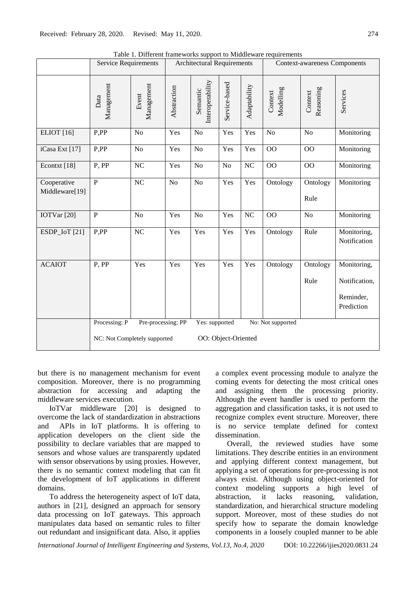|                               | raoie 1. Dhierent hameworks support to middleware requirements<br><b>Service Requirements</b>                                     |                     | <b>Architectural Requirements</b> |                              |                | <b>Context-awareness Components</b> |                      |                      |                                                         |
|-------------------------------|-----------------------------------------------------------------------------------------------------------------------------------|---------------------|-----------------------------------|------------------------------|----------------|-------------------------------------|----------------------|----------------------|---------------------------------------------------------|
|                               | Management<br>Data                                                                                                                | Management<br>Event | Abstraction                       | Interoperability<br>Semantic | Service-based  | Adaptability                        | Modelling<br>Context | Reasoning<br>Context | Services                                                |
| <b>ELIOT</b> [16]             | P,PP                                                                                                                              | No                  | Yes                               | N <sub>o</sub>               | Yes            | Yes                                 | N <sub>o</sub>       | N <sub>o</sub>       | Monitoring                                              |
| iCasa Ext [17]                | P,PP                                                                                                                              | No                  | Yes                               | No                           | Yes            | Yes                                 | OO                   | O <sub>O</sub>       | Monitoring                                              |
| Econtxt [18]                  | P, PP                                                                                                                             | NC                  | Yes                               | N <sub>o</sub>               | N <sub>o</sub> | NC                                  | 00                   | 00                   | Monitoring                                              |
| Cooperative<br>Middleware[19] | $\overline{P}$                                                                                                                    | $\rm NC$            | N <sub>o</sub>                    | No                           | Yes            | Yes                                 | Ontology             | Ontology<br>Rule     | Monitoring                                              |
| IOTVar <sup>[20]</sup>        | $\mathbf P$                                                                                                                       | No                  | Yes                               | No                           | Yes            | $\rm NC$                            | O <sub>O</sub>       | No                   | Monitoring                                              |
| ESDP_IoT [21]                 | P,PP                                                                                                                              | NC                  | Yes                               | Yes                          | Yes            | Yes                                 | Ontology             | Rule                 | Monitoring,<br>Notification                             |
| <b>ACAIOT</b>                 | P, PP                                                                                                                             | Yes                 | Yes                               | Yes                          | Yes            | Yes                                 | Ontology             | Ontology<br>Rule     | Monitoring,<br>Notification,<br>Reminder,<br>Prediction |
|                               | Processing: P<br>Pre-processing: PP<br>Yes: supported<br>No: Not supported<br>OO: Object-Oriented<br>NC: Not Completely supported |                     |                                   |                              |                |                                     |                      |                      |                                                         |

Table 1. Different frameworks support to Middleware requirements

but there is no management mechanism for event composition. Moreover, there is no programming abstraction for accessing and adapting the middleware services execution.

IoTVar middleware [\[20\]](https://paperpile.com/c/tuRb1s/VsDk) is designed to overcome the lack of standardization in abstractions and APIs in IoT platforms. It is offering to application developers on the client side the possibility to declare variables that are mapped to sensors and whose values are transparently updated with sensor observations by using proxies. However, there is no semantic context modeling that can fit the development of IoT applications in different domains.

To address the heterogeneity aspect of IoT data, authors in [\[21\],](https://paperpile.com/c/tuRb1s/AcEK) designed an approach for sensory data processing on IoT gateways. This approach manipulates data based on semantic rules to filter out redundant and insignificant data. Also, it applies a complex event processing module to analyze the coming events for detecting the most critical ones and assigning them the processing priority. Although the event handler is used to perform the aggregation and classification tasks, it is not used to recognize complex event structure. Moreover, there is no service template defined for context dissemination.

Overall, the reviewed studies have some limitations. They describe entities in an environment and applying different context management, but applying a set of operations for pre-processing is not always exist. Although using object-oriented for context modeling supports a high level of abstraction, it lacks reasoning, validation, standardization, and hierarchical structure modeling support. Moreover, most of these studies do not specify how to separate the domain knowledge components in a loosely coupled manner to be able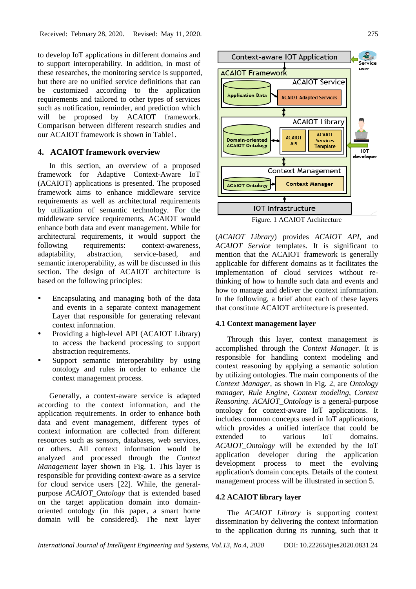to develop IoT applications in different domains and to support interoperability. In addition, in most of these researches, the monitoring service is supported, but there are no unified service definitions that can be customized according to the application requirements and tailored to other types of services such as notification, reminder, and prediction which will be proposed by ACAIOT framework. Comparison between different research studies and our ACAIOT framework is shown in Table1.

# **4. ACAIOT framework overview**

In this section, an overview of a proposed framework for Adaptive Context-Aware IoT (ACAIOT) applications is presented. The proposed framework aims to enhance middleware service requirements as well as architectural requirements by utilization of semantic technology. For the middleware service requirements, ACAIOT would enhance both data and event management. While for architectural requirements, it would support the following requirements: context-awareness, adaptability, abstraction, service-based, and semantic interoperability, as will be discussed in this section. The design of ACAIOT architecture is based on the following principles:

- Encapsulating and managing both of the data and events in a separate context management Layer that responsible for generating relevant context information.
- Providing a high-level API (ACAIOT Library) to access the backend processing to support abstraction requirements.
- Support semantic interoperability by using ontology and rules in order to enhance the context management process.

Generally, a context-aware service is adapted according to the context information, and the application requirements. In order to enhance both data and event management, different types of context information are collected from different resources such as sensors, databases, web services, or others. All context information would be analyzed and processed through the *Context Management* layer shown in Fig. 1. This layer is responsible for providing context-aware as a service for cloud service users [\[22\].](https://paperpile.com/c/tuRb1s/Ui8TU) While, the generalpurpose *ACAIOT\_Ontology* that is extended based on the target application domain into domainoriented ontology (in this paper, a smart home domain will be considered). The next layer



(*ACAIOT Library*) provides *ACAIOT API*, and *ACAIOT Service* templates. It is significant to mention that the ACAIOT framework is generally applicable for different domains as it facilitates the implementation of cloud services without rethinking of how to handle such data and events and how to manage and deliver the context information. In the following, a brief about each of these layers that constitute ACAIOT architecture is presented.

#### **4.1 Context management layer**

Through this layer, context management is accomplished through the *Context Manager.* It is responsible for handling context modeling and context reasoning by applying a semantic solution by utilizing ontologies. The main components of the *Context Manager,* as shown in Fig. 2, are *Ontology manager*, *Rule Engine*, *Context modeling*, *Context Reasoning*. *ACAIOT\_Ontology* is a general-purpose ontology for context-aware IoT applications. It includes common concepts used in IoT applications, which provides a unified interface that could be extended to various IoT domains. *ACAIOT\_Ontology* will be extended by the IoT application developer during the application development process to meet the evolving application's domain concepts. Details of the context management process will be illustrated in section 5.

# **4.2 ACAIOT library layer**

The *ACAIOT Library* is supporting context dissemination by delivering the context information to the application during its running, such that it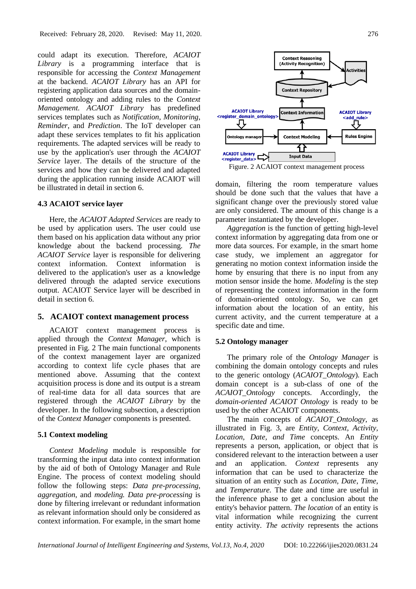could adapt its execution. Therefore, *ACAIOT Library* is a programming interface that is responsible for accessing the *Context Management* at the backend. *ACAIOT Library* has an API for registering application data sources and the domainoriented ontology and adding rules to the *Context Management. ACAIOT Library* has predefined services templates such as *Notification*, *Monitoring*, *Reminder*, and *Prediction*. The IoT developer can adapt these services templates to fit his application requirements. The adapted services will be ready to use by the application's user through the *ACAIOT Service* layer. The details of the structure of the services and how they can be delivered and adapted during the application running inside ACAIOT will be illustrated in detail in section 6.

#### **4.3 ACAIOT service layer**

Here, the *ACAIOT Adapted Services* are ready to be used by application users. The user could use them based on his application data without any prior knowledge about the backend processing. *The ACAIOT Service* layer is responsible for delivering context information. Context information is delivered to the application's user as a knowledge delivered through the adapted service executions output. ACAIOT Service layer will be described in detail in section 6.

# **5. ACAIOT context management process**

ACAIOT context management process is applied through the *Context Manager*, which is presented in Fig. 2 The main functional components of the context management layer are organized according to context life cycle phases that are mentioned above. Assuming that the context acquisition process is done and its output is a stream of real-time data for all data sources that are registered through the *ACAIOT Library* by the developer. In the following subsection, a description of the *Context Manager* components is presented.

### **5.1 Context modeling**

*Context Modeling* module is responsible for transforming the input data into context information by the aid of both of Ontology Manager and Rule Engine. The process of context modeling should follow the following steps: *Data pre-processing*, *aggregation*, and *modeling. Data pre-processing* is done by filtering irrelevant or redundant information as relevant information should only be considered as context information. For example, in the smart home





domain, filtering the room temperature values should be done such that the values that have a significant change over the previously stored value are only considered. The amount of this change is a parameter instantiated by the developer.

*Aggregation* is the function of getting high-level context information by aggregating data from one or more data sources. For example, in the smart home case study, we implement an aggregator for generating no motion context information inside the home by ensuring that there is no input from any motion sensor inside the home. *Modeling* is the step of representing the context information in the form of domain-oriented ontology. So, we can get information about the location of an entity, his current activity, and the current temperature at a specific date and time.

### **5.2 Ontology manager**

The primary role of the *Ontology Manager* is combining the domain ontology concepts and rules to the generic ontology (*ACAIOT\_Ontology*)*.* Each domain concept is a sub-class of one of the *ACAIOT\_Ontology* concepts. Accordingly, the *domain-oriented ACAIOT Ontology* is ready to be used by the other ACAIOT components.

The main concepts of *ACAIOT\_Ontology*, as illustrated in Fig. 3, are *Entity, Context, Activity, Location, Date, and Time* concepts. An *Entity* represents a person, application, or object that is considered relevant to the interaction between a user and an application. *Context* represents any information that can be used to characterize the situation of an entity such as *Location, Date*, *Time,*  and *Temperature.* The date and time are useful in the inference phase to get a conclusion about the entity's behavior pattern. *The location* of an entity is vital information while recognizing the current entity activity. *The activity* represents the actions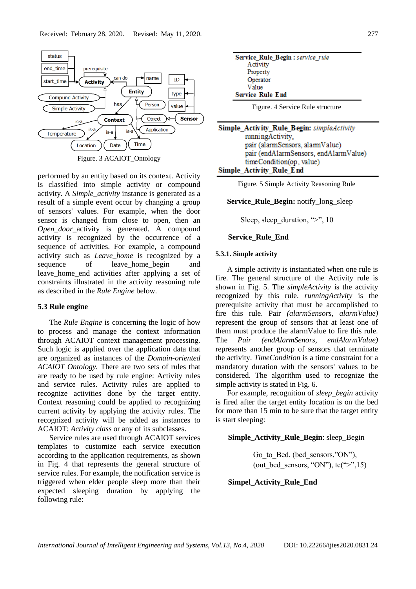

Figure. 3 ACAIOT\_Ontology

performed by an entity based on its context. Activity is classified into simple activity or compound activity. A *Simple\_activity* instance is generated as a result of a simple event occur by changing a group of sensors' values. For example, when the door sensor is changed from close to open, then an *Open door* activity is generated. A compound activity is recognized by the occurrence of a sequence of activities. For example, a compound activity such as *Leave\_home* is recognized by a sequence of leave home begin and leave\_home\_end activities after applying a set of constraints illustrated in the activity reasoning rule as described in the *Rule Engine* below.

#### **5.3 Rule engine**

The *Rule Engine* is concerning the logic of how to process and manage the context information through ACAIOT context management processing. Such logic is applied over the application data that are organized as instances of the *Domain-oriented ACAIOT Ontology.* There are two sets of rules that are ready to be used by rule engine: Activity rules and service rules. Activity rules are applied to recognize activities done by the target entity. Context reasoning could be applied to recognizing current activity by applying the activity rules. The recognized activity will be added as instances to ACAIOT: *Activity class* or any of its subclasses.

Service rules are used through ACAIOT services templates to customize each service execution according to the application requirements, as shown in Fig. 4 that represents the general structure of service rules. For example, the notification service is triggered when elder people sleep more than their expected sleeping duration by applying the following rule:

| Service Rule Begin : service rule |  |
|-----------------------------------|--|
| Activity                          |  |
| Property                          |  |
| Operator                          |  |
| Value                             |  |
| <b>Service Rule End</b>           |  |

| Simple Activity Rule Begin: simpleActivity |
|--------------------------------------------|
| running Activity.                          |
| pair (alarmSensors, alarmValue)            |
| pair (endA1armSensors, endA1armValue)      |
| timeCondition(op, value)                   |
| <b>Simple Activity Rule End</b>            |

Figure. 5 Simple Activity Reasoning Rule

#### **Service\_Rule\_Begin:** notify\_long\_sleep

Sleep, sleep duration, " $>$ ", 10

#### **Service\_Rule\_End**

#### **5.3.1. Simple activity**

A simple activity is instantiated when one rule is fire. The general structure of the Activity rule is shown in Fig. 5. The *simpleActivity* is the activity recognized by this rule. *runningActivity* is the prerequisite activity that must be accomplished to fire this rule. Pair *(alarmSensors, alarmValue)* represent the group of sensors that at least one of them must produce the alarmValue to fire this rule. The *Pair (endAlarmSenors, endAlarmValue)*  represents another group of sensors that terminate the activity. *TimeCondition* is a time constraint for a mandatory duration with the sensors' values to be considered. The algorithm used to recognize the simple activity is stated in Fig. 6.

For example, recognition of *sleep\_begin* activity is fired after the target entity location is on the bed for more than 15 min to be sure that the target entity is start sleeping:

#### **Simple\_Activity\_Rule\_Begin**: sleep\_Begin

Go to Bed, (bed sensors,"ON"), (out bed sensors, "ON"),  $tc(">$ ",15)

## **Simpel\_Activity\_Rule\_End**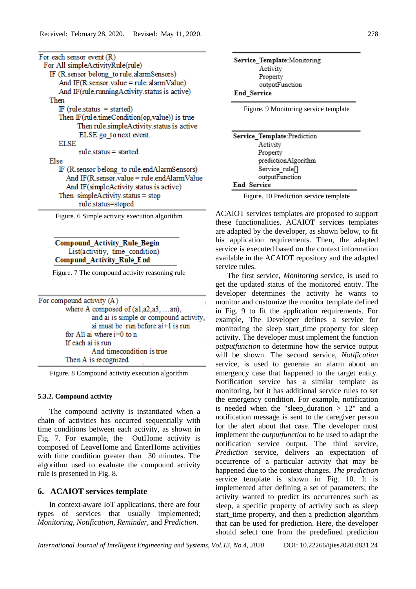| For each sensor event $(R)$                      |
|--------------------------------------------------|
| For All simpleActivityRule(rule)                 |
| IF (R.sensor belong to rule.alarmSensors)        |
| And IF(R sensor value = rule.alarmValue)         |
| And IF(rule.runningActivity.status is active)    |
| Then                                             |
| $IF$ (rule.status = started)                     |
| Then IF (rul e.timeCondition(op, value)) is true |
| Then rule simpleActivity status is active        |
| ELSE go to next event.                           |
| <b>ELSE</b>                                      |
| $rule$ status = started                          |
| Else                                             |
| IF (R. sensor belong to rule.endAlarmSensors)    |
| And IF(R.sensor.value = rule.endAlarmValue       |
| And IF(simpleActivity.status is active)          |
| Then $simpleActivity. status = stop$             |
| rule.status=stoped                               |
| Figure 6 Simple activity execution algorithm     |

ire. 6 Simple activity execution algorithm

# **Compound Activity Rule Begin** List(activitiy, time\_condition) Compund Activity Rule End

Figure. 7 The compound activity reasoning rule

| For compound activity (A)              |
|----------------------------------------|
| where A composed of $(a1,a2,a3,an)$ ,  |
| and ai is simple or compound activity, |
| ai must be run before $ai+1$ is run    |
| for All ai where $i=0$ to n            |
| If each ai is run                      |
| And timecondition is true              |
| Then A is recognized                   |
|                                        |

Figure. 8 Compound activity execution algorithm

#### **5.3.2. Compound activity**

The compound activity is instantiated when a chain of activities has occurred sequentially with time conditions between each activity, as shown in Fig. 7. For example, the OutHome activity is composed of LeaveHome and EnterHome activities with time condition greater than 30 minutes. The algorithm used to evaluate the compound activity rule is presented in Fig. 8.

# **6. ACAIOT services template**

In context-aware IoT applications, there are four types of services that usually implemented; *Monitoring*, *Notification, Reminder,* and *Prediction*.

| Service Template: Monitoring          |
|---------------------------------------|
| Activity                              |
| Property                              |
| outputFunction                        |
| End Service                           |
| Figure. 9 Monitoring service template |
|                                       |

| Service Template:Prediction |
|-----------------------------|
| Activity                    |
| Property                    |
| predictionAlgorithm         |
| Service rule <sup>[]</sup>  |
| outputFunction              |
| End Service                 |
|                             |

Figure. 10 Prediction service template

ACAIOT services templates are proposed to support these functionalities. ACAIOT services templates are adapted by the developer, as shown below, to fit his application requirements. Then, the adapted service is executed based on the context information available in the ACAIOT repository and the adapted service rules.

The first service, *Monitoring* service, is used to get the updated status of the monitored entity. The developer determines the activity he wants to monitor and customize the monitor template defined in Fig. 9 to fit the application requirements. For example, The Developer defines a service for monitoring the sleep start\_time property for sleep activity. The developer must implement the function *outputfunction* to determine how the service output will be shown. The second service, *Notification* service, is used to generate an alarm about an emergency case that happened to the target entity. Notification service has a similar template as monitoring, but it has additional service rules to set the emergency condition. For example, notification is needed when the "sleep\_duration  $> 12$ " and a notification message is sent to the caregiver person for the alert about that case. The developer must implement the *outputfunction* to be used to adapt the notification service output. The third service, *Prediction* service, delivers an expectation of occurrence of a particular activity that may be happened due to the context changes. *The prediction* service template is shown in Fig. 10. It is implemented after defining a set of parameters; the activity wanted to predict its occurrences such as sleep, a specific property of activity such as sleep start\_time property, and then a prediction algorithm that can be used for prediction. Here, the developer should select one from the predefined prediction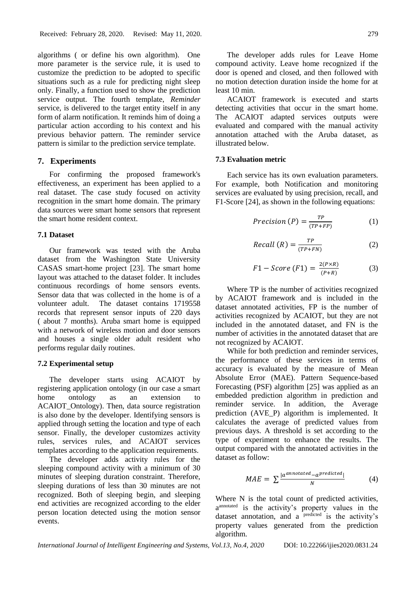algorithms ( or define his own algorithm). One more parameter is the service rule, it is used to customize the prediction to be adopted to specific situations such as a rule for predicting night sleep only. Finally, a function used to show the prediction service output. The fourth template, *Reminder* service, is delivered to the target entity itself in any form of alarm notification. It reminds him of doing a particular action according to his context and his previous behavior pattern. The reminder service pattern is similar to the prediction service template.

# **7. Experiments**

For confirming the proposed framework's effectiveness, an experiment has been applied to a real dataset. The case study focused on activity recognition in the smart home domain. The primary data sources were smart home sensors that represent the smart home resident context.

# **7.1 Dataset**

Our framework was tested with the Aruba dataset from the Washington State University CASAS smart-home project [\[23\].](https://paperpile.com/c/tuRb1s/bkVPx) The smart home layout was attached to the dataset folder. It includes continuous recordings of home sensors events. Sensor data that was collected in the home is of a volunteer adult. The dataset contains 1719558 records that represent sensor inputs of 220 days ( about 7 months). Aruba smart home is equipped with a network of wireless motion and door sensors and houses a single older adult resident who performs regular daily routines.

## **7.2 Experimental setup**

The developer starts using ACAIOT by registering application ontology (in our case a smart home ontology as an extension to ACAIOT Ontology). Then, data source registration is also done by the developer. Identifying sensors is applied through setting the location and type of each sensor. Finally, the developer customizes activity rules, services rules, and ACAIOT services templates according to the application requirements.

The developer adds activity rules for the sleeping compound activity with a minimum of 30 minutes of sleeping duration constraint. Therefore, sleeping durations of less than 30 minutes are not recognized. Both of sleeping begin, and sleeping end activities are recognized according to the elder person location detected using the motion sensor events.

The developer adds rules for Leave Home compound activity. Leave home recognized if the door is opened and closed, and then followed with no motion detection duration inside the home for at least 10 min.

ACAIOT framework is executed and starts detecting activities that occur in the smart home. The ACAIOT adapted services outputs were evaluated and compared with the manual activity annotation attached with the Aruba dataset, as illustrated below.

### **7.3 Evaluation metric**

Each service has its own evaluation parameters. For example, both Notification and monitoring services are evaluated by using precision, recall, and F1-Score [\[24\],](https://paperpile.com/c/tuRb1s/nEsKl) as shown in the following equations:

$$
Precision(P) = \frac{TP}{(TP + FP)}
$$
 (1)

$$
Recall (R) = \frac{TP}{(TP+FN)}
$$
 (2)

$$
F1 - Score (F1) = \frac{2(P \times R)}{(P + R)}
$$
 (3)

Where TP is the number of activities recognized by ACAIOT framework and is included in the dataset annotated activities, FP is the number of activities recognized by ACAIOT, but they are not included in the annotated dataset, and FN is the number of activities in the annotated dataset that are not recognized by ACAIOT.

While for both prediction and reminder services, the performance of these services in terms of accuracy is evaluated by the measure of Mean Absolute Error (MAE). Pattern Sequence-based Forecasting (PSF) algorithm [\[25\]](https://paperpile.com/c/tuRb1s/Pelh6) was applied as an embedded prediction algorithm in prediction and reminder service. In addition, the Average prediction (AVE\_P) algorithm is implemented. It calculates the average of predicted values from previous days. A threshold is set according to the type of experiment to enhance the results. The output compared with the annotated activities in the dataset as follow:

$$
MAE = \sum \frac{|a^{annotated} - a^{predicted}|}{N}
$$
 (4)

Where N is the total count of predicted activities, a annotated is the activity's property values in the dataset annotation, and a  $\overline{p}$ <sup>predicted</sup> is the activity's property values generated from the prediction algorithm.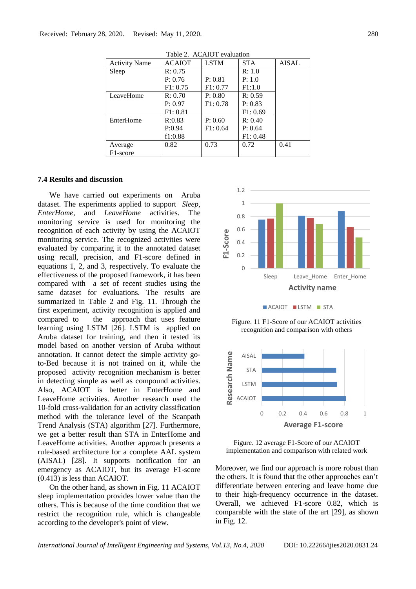| Table 2. ACAIOT evaluation |               |             |            |       |  |  |
|----------------------------|---------------|-------------|------------|-------|--|--|
| <b>Activity Name</b>       | <b>ACAIOT</b> | <b>LSTM</b> | <b>STA</b> | AISAL |  |  |
| Sleep                      | R: 0.75       |             | R: 1.0     |       |  |  |
|                            | P: 0.76       | P: 0.81     | P: 1.0     |       |  |  |
|                            | F1: 0.75      | F1: 0.77    | F1:1.0     |       |  |  |
| LeaveHome                  | R: 0.70       | P: 0.80     | R: 0.59    |       |  |  |
|                            | P: 0.97       | F1: 0.78    | P: 0.83    |       |  |  |
|                            | F1: 0.81      |             | F1: 0.69   |       |  |  |
| EnterHome                  | R:0.83        | P: 0.60     | R: 0.40    |       |  |  |
|                            | P:0.94        | F1: 0.64    | P: 0.64    |       |  |  |
|                            | f1:0.88       |             | F1: 0.48   |       |  |  |
| Average                    | 0.82          | 0.73        | 0.72       | 0.41  |  |  |
| F1-score                   |               |             |            |       |  |  |

 $ACATOT$ 

# **7.4 Results and discussion**

We have carried out experiments on Aruba dataset. The experiments applied to support *Sleep, EnterHome,* and *LeaveHome* activities. The monitoring service is used for monitoring the recognition of each activity by using the ACAIOT monitoring service. The recognized activities were evaluated by comparing it to the annotated dataset using recall, precision, and F1-score defined in equations 1, 2, and 3, respectively. To evaluate the effectiveness of the proposed framework, it has been compared with a set of recent studies using the same dataset for evaluations. The results are summarized in Table 2 and Fig. 11. Through the first experiment, activity recognition is applied and compared to the approach that uses feature learning using LSTM [\[26\].](https://paperpile.com/c/tuRb1s/xxDe) LSTM is applied on Aruba dataset for training, and then it tested its model based on another version of Aruba without annotation. It cannot detect the simple activity goto-Bed because it is not trained on it, while the proposed activity recognition mechanism is better in detecting simple as well as compound activities. Also, ACAIOT is better in EnterHome and LeaveHome activities. Another research used the 10-fold cross-validation for an activity classification method with the tolerance level of the Scanpath Trend Analysis (STA) algorithm [\[27\].](https://paperpile.com/c/tuRb1s/JdT4) Furthermore, we get a better result than STA in EnterHome and LeaveHome activities. Another approach presents a rule-based architecture for a complete AAL system (AISAL) [\[28\].](https://paperpile.com/c/tuRb1s/raxR) It supports notification for an emergency as ACAIOT, but its average F1-score (0.413) is less than ACAIOT.

On the other hand, as shown in Fig. 11 ACAIOT sleep implementation provides lower value than the others. This is because of the time condition that we restrict the recognition rule, which is changeable according to the developer's point of view.



**ACAIOT LISTM STA** 

Figure. 11 F1-Score of our ACAIOT activities recognition and comparison with others



Figure. 12 average F1-Score of our ACAIOT implementation and comparison with related work

Moreover, we find our approach is more robust than the others. It is found that the other approaches can't differentiate between entering and leave home due to their high-frequency occurrence in the dataset. Overall, we achieved F1-score 0.82, which is comparable with the state of the art [29], as shown in Fig. 12.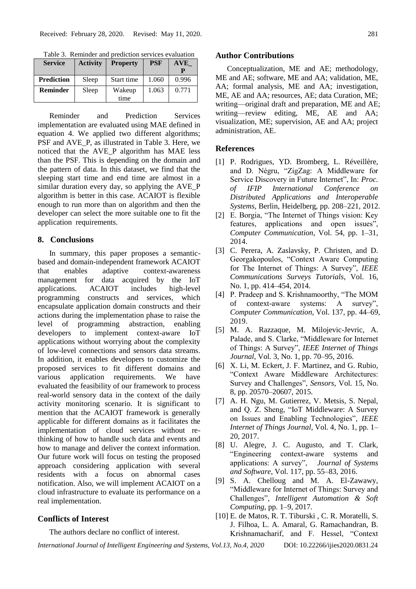| <b>Service</b>    | <b>Activity</b> | <b>Property</b> | <b>PSF</b> | <b>AVE</b> |
|-------------------|-----------------|-----------------|------------|------------|
| <b>Prediction</b> | Sleep           | Start time      | 1.060      | 0.996      |
| <b>Reminder</b>   | Sleep           | Wakeup          | 1.063      | 0.771      |
|                   |                 | time            |            |            |

Table 3. Reminder and prediction services evaluation

Reminder and Prediction Services implementation are evaluated using MAE defined in equation 4. We applied two different algorithms; PSF and AVE P, as illustrated in Table 3. Here, we noticed that the AVE\_P algorithm has MAE less than the PSF. This is depending on the domain and the pattern of data. In this dataset, we find that the sleeping start time and end time are almost in a similar duration every day, so applying the AVE\_P algorithm is better in this case. ACAIOT is flexible enough to run more than on algorithm and then the developer can select the more suitable one to fit the application requirements.

# **8. Conclusions**

In summary, this paper proposes a semanticbased and domain-independent framework ACAIOT that enables adaptive context-awareness management for data acquired by the IoT applications. ACAIOT includes high-level programming constructs and services, which encapsulate application domain constructs and their actions during the implementation phase to raise the level of programming abstraction, enabling developers to implement context-aware IoT applications without worrying about the complexity of low-level connections and sensors data streams. In addition, it enables developers to customize the proposed services to fit different domains and various application requirements. We have evaluated the feasibility of our framework to process real-world sensory data in the context of the daily activity monitoring scenario. It is significant to mention that the ACAIOT framework is generally applicable for different domains as it facilitates the implementation of cloud services without rethinking of how to handle such data and events and how to manage and deliver the context information. Our future work will focus on testing the proposed approach considering application with several residents with a focus on abnormal cases notification. Also, we will implement ACAIOT on a cloud infrastructure to evaluate its performance on a real implementation.

# **Conflicts of Interest**

The authors declare no conflict of interest.

#### **Author Contributions**

Conceptualization, ME and AE; methodology, ME and AE; software, ME and AA; validation, ME, AA; formal analysis, ME and AA; investigation, ME, AE and AA; resources, AE; data Curation, ME; writing—original draft and preparation, ME and AE; writing—review editing, ME, AE and AA; visualization, ME; supervision, AE and AA; project administration, AE.

# **References**

- [1] [P. Rodrigues, YD. Bromberg, L. Réveillère,](http://paperpile.com/b/tuRb1s/5hb2)  [and D. Négru, "ZigZag: A Middleware for](http://paperpile.com/b/tuRb1s/5hb2)  [Service Discovery in Future Internet", In:](http://paperpile.com/b/tuRb1s/5hb2) *Proc. of IFIP International Conference on Distributed Applications and Interoperable Systems*[, Berlin, Heidelberg, pp. 208–221, 2012.](http://paperpile.com/b/tuRb1s/5hb2)
- [2] E. Borgia, "The Internet of Things vision: Key features, applications and open issues", *[Computer Communi](http://paperpile.com/b/tuRb1s/RYXp)cation*[, Vol. 54, pp. 1–31,](http://paperpile.com/b/tuRb1s/RYXp)  [2014.](http://paperpile.com/b/tuRb1s/RYXp)
- [3] C. Perera, A. Zaslavsky, P. Christen, and D. Georgakopoulos, "Context Aware Computing for The Internet of Things: A Survey", *[IEEE](http://paperpile.com/b/tuRb1s/hNN7r)  [Communications Surveys Tutorials](http://paperpile.com/b/tuRb1s/hNN7r)*[, Vol. 16,](http://paperpile.com/b/tuRb1s/hNN7r)  [No. 1, pp. 414–454, 2014.](http://paperpile.com/b/tuRb1s/hNN7r)
- [4] P. Pradeep and S. Krishnamoorthy, "The MOM of context-aware systems: A survey", *Computer Communication*[, Vol. 137, pp. 44–69,](http://paperpile.com/b/tuRb1s/VODuV)  [2019.](http://paperpile.com/b/tuRb1s/VODuV)
- [5] M. A. Razzaque, M. Milojevic-Jevric, A. Palade, and S. Clarke, "Middleware for Internet of Things: A Survey", *IEEE Internet of Things Journal*[, Vol. 3, No. 1, pp. 70–95, 2016.](http://paperpile.com/b/tuRb1s/GCFtc)
- [6] X. Li, M. Eckert, J. F. Martinez, and G. Rubio, "Context Aware Middleware Architectures: Survey and Challenges", *Sensors*, [Vol. 15, No.](http://paperpile.com/b/tuRb1s/jNjeT)  [8, pp. 20570–20607, 2015.](http://paperpile.com/b/tuRb1s/jNjeT)
- [7] A. H. Ngu, M. Gutierrez, V. Metsis, S. Nepal, and Q. Z. Sheng, "IoT Middleware: A Survey on Issues and Enabling Technologies", *IEEE Internet of Things Journal*[, Vol. 4, No. 1, pp. 1–](http://paperpile.com/b/tuRb1s/V2GYb) [20, 2017.](http://paperpile.com/b/tuRb1s/V2GYb)
- [8] [U. Alegre, J. C. Augusto, and T. Clark,](http://paperpile.com/b/tuRb1s/Cx68O)  ["Engineering context-aware systems and](http://paperpile.com/b/tuRb1s/Cx68O)  [applications: A survey",](http://paperpile.com/b/tuRb1s/Cx68O) *[Journal of Systems](http://paperpile.com/b/tuRb1s/Cx68O)  [and Software](http://paperpile.com/b/tuRb1s/Cx68O)*[, Vol. 117, pp. 55–83, 2016.](http://paperpile.com/b/tuRb1s/Cx68O)
- [9] [S. A. Chelloug and M. A. El-Zawawy,](http://paperpile.com/b/tuRb1s/vAHGG)  ["Middleware for Internet of Things: Survey and](http://paperpile.com/b/tuRb1s/vAHGG)  [Challenges",](http://paperpile.com/b/tuRb1s/vAHGG) *[Intelligent Automation & Soft](http://paperpile.com/b/tuRb1s/vAHGG)  [Computing](http://paperpile.com/b/tuRb1s/vAHGG)*[, pp. 1–9, 2017.](http://paperpile.com/b/tuRb1s/vAHGG)
- [10] [E. de Matos,](http://paperpile.com/b/tuRb1s/N8gwu) R. T. Tiburski , C. R. Moratelli, S. J. Filhoa, L. A. Amaral, G. Ramachandran, B. Krishnamacharif, and F. Hessel, "Context